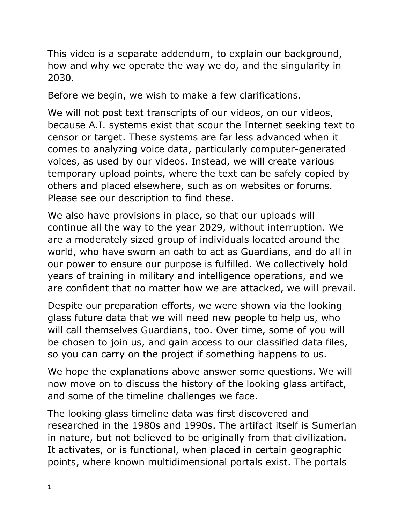This video is a separate addendum, to explain our background, how and why we operate the way we do, and the singularity in 2030.

Before we begin, we wish to make a few clarifications.

We will not post text transcripts of our videos, on our videos, because A.I. systems exist that scour the Internet seeking text to censor or target. These systems are far less advanced when it comes to analyzing voice data, particularly computer-generated voices, as used by our videos. Instead, we will create various temporary upload points, where the text can be safely copied by others and placed elsewhere, such as on websites or forums. Please see our description to find these.

We also have provisions in place, so that our uploads will continue all the way to the year 2029, without interruption. We are a moderately sized group of individuals located around the world, who have sworn an oath to act as Guardians, and do all in our power to ensure our purpose is fulfilled. We collectively hold years of training in military and intelligence operations, and we are confident that no matter how we are attacked, we will prevail.

Despite our preparation efforts, we were shown via the looking glass future data that we will need new people to help us, who will call themselves Guardians, too. Over time, some of you will be chosen to join us, and gain access to our classified data files, so you can carry on the project if something happens to us.

We hope the explanations above answer some questions. We will now move on to discuss the history of the looking glass artifact, and some of the timeline challenges we face.

The looking glass timeline data was first discovered and researched in the 1980s and 1990s. The artifact itself is Sumerian in nature, but not believed to be originally from that civilization. It activates, or is functional, when placed in certain geographic points, where known multidimensional portals exist. The portals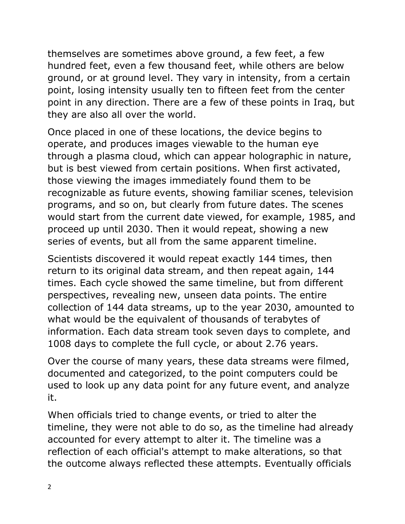themselves are sometimes above ground, a few feet, a few hundred feet, even a few thousand feet, while others are below ground, or at ground level. They vary in intensity, from a certain point, losing intensity usually ten to fifteen feet from the center point in any direction. There are a few of these points in Iraq, but they are also all over the world.

Once placed in one of these locations, the device begins to operate, and produces images viewable to the human eye through a plasma cloud, which can appear holographic in nature, but is best viewed from certain positions. When first activated, those viewing the images immediately found them to be recognizable as future events, showing familiar scenes, television programs, and so on, but clearly from future dates. The scenes would start from the current date viewed, for example, 1985, and proceed up until 2030. Then it would repeat, showing a new series of events, but all from the same apparent timeline.

Scientists discovered it would repeat exactly 144 times, then return to its original data stream, and then repeat again, 144 times. Each cycle showed the same timeline, but from different perspectives, revealing new, unseen data points. The entire collection of 144 data streams, up to the year 2030, amounted to what would be the equivalent of thousands of terabytes of information. Each data stream took seven days to complete, and 1008 days to complete the full cycle, or about 2.76 years.

Over the course of many years, these data streams were filmed, documented and categorized, to the point computers could be used to look up any data point for any future event, and analyze it.

When officials tried to change events, or tried to alter the timeline, they were not able to do so, as the timeline had already accounted for every attempt to alter it. The timeline was a reflection of each official's attempt to make alterations, so that the outcome always reflected these attempts. Eventually officials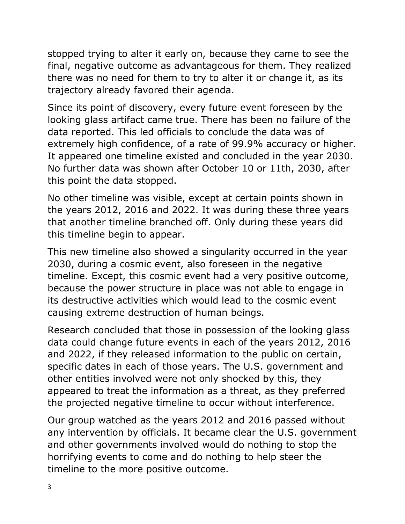stopped trying to alter it early on, because they came to see the final, negative outcome as advantageous for them. They realized there was no need for them to try to alter it or change it, as its trajectory already favored their agenda.

Since its point of discovery, every future event foreseen by the looking glass artifact came true. There has been no failure of the data reported. This led officials to conclude the data was of extremely high confidence, of a rate of 99.9% accuracy or higher. It appeared one timeline existed and concluded in the year 2030. No further data was shown after October 10 or 11th, 2030, after this point the data stopped.

No other timeline was visible, except at certain points shown in the years 2012, 2016 and 2022. It was during these three years that another timeline branched off. Only during these years did this timeline begin to appear.

This new timeline also showed a singularity occurred in the year 2030, during a cosmic event, also foreseen in the negative timeline. Except, this cosmic event had a very positive outcome, because the power structure in place was not able to engage in its destructive activities which would lead to the cosmic event causing extreme destruction of human beings.

Research concluded that those in possession of the looking glass data could change future events in each of the years 2012, 2016 and 2022, if they released information to the public on certain, specific dates in each of those years. The U.S. government and other entities involved were not only shocked by this, they appeared to treat the information as a threat, as they preferred the projected negative timeline to occur without interference.

Our group watched as the years 2012 and 2016 passed without any intervention by officials. It became clear the U.S. government and other governments involved would do nothing to stop the horrifying events to come and do nothing to help steer the timeline to the more positive outcome.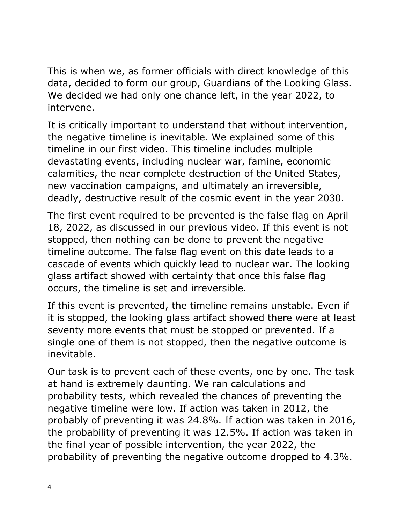This is when we, as former officials with direct knowledge of this data, decided to form our group, Guardians of the Looking Glass. We decided we had only one chance left, in the year 2022, to intervene.

It is critically important to understand that without intervention, the negative timeline is inevitable. We explained some of this timeline in our first video. This timeline includes multiple devastating events, including nuclear war, famine, economic calamities, the near complete destruction of the United States, new vaccination campaigns, and ultimately an irreversible, deadly, destructive result of the cosmic event in the year 2030.

The first event required to be prevented is the false flag on April 18, 2022, as discussed in our previous video. If this event is not stopped, then nothing can be done to prevent the negative timeline outcome. The false flag event on this date leads to a cascade of events which quickly lead to nuclear war. The looking glass artifact showed with certainty that once this false flag occurs, the timeline is set and irreversible.

If this event is prevented, the timeline remains unstable. Even if it is stopped, the looking glass artifact showed there were at least seventy more events that must be stopped or prevented. If a single one of them is not stopped, then the negative outcome is inevitable.

Our task is to prevent each of these events, one by one. The task at hand is extremely daunting. We ran calculations and probability tests, which revealed the chances of preventing the negative timeline were low. If action was taken in 2012, the probably of preventing it was 24.8%. If action was taken in 2016, the probability of preventing it was 12.5%. If action was taken in the final year of possible intervention, the year 2022, the probability of preventing the negative outcome dropped to 4.3%.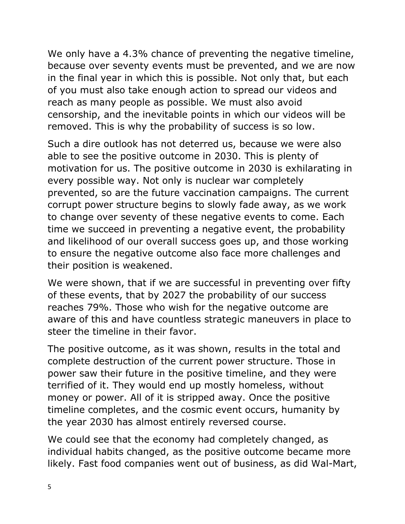We only have a 4.3% chance of preventing the negative timeline, because over seventy events must be prevented, and we are now in the final year in which this is possible. Not only that, but each of you must also take enough action to spread our videos and reach as many people as possible. We must also avoid censorship, and the inevitable points in which our videos will be removed. This is why the probability of success is so low.

Such a dire outlook has not deterred us, because we were also able to see the positive outcome in 2030. This is plenty of motivation for us. The positive outcome in 2030 is exhilarating in every possible way. Not only is nuclear war completely prevented, so are the future vaccination campaigns. The current corrupt power structure begins to slowly fade away, as we work to change over seventy of these negative events to come. Each time we succeed in preventing a negative event, the probability and likelihood of our overall success goes up, and those working to ensure the negative outcome also face more challenges and their position is weakened.

We were shown, that if we are successful in preventing over fifty of these events, that by 2027 the probability of our success reaches 79%. Those who wish for the negative outcome are aware of this and have countless strategic maneuvers in place to steer the timeline in their favor.

The positive outcome, as it was shown, results in the total and complete destruction of the current power structure. Those in power saw their future in the positive timeline, and they were terrified of it. They would end up mostly homeless, without money or power. All of it is stripped away. Once the positive timeline completes, and the cosmic event occurs, humanity by the year 2030 has almost entirely reversed course.

We could see that the economy had completely changed, as individual habits changed, as the positive outcome became more likely. Fast food companies went out of business, as did Wal-Mart,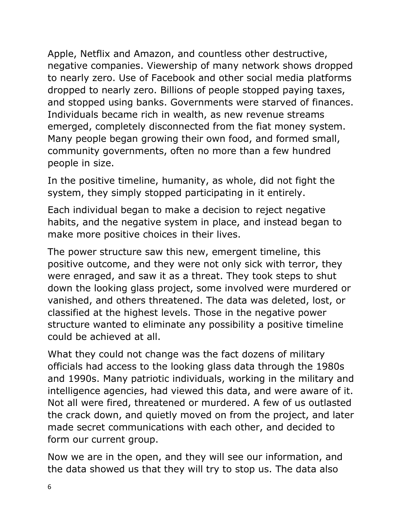Apple, Netflix and Amazon, and countless other destructive, negative companies. Viewership of many network shows dropped to nearly zero. Use of Facebook and other social media platforms dropped to nearly zero. Billions of people stopped paying taxes, and stopped using banks. Governments were starved of finances. Individuals became rich in wealth, as new revenue streams emerged, completely disconnected from the fiat money system. Many people began growing their own food, and formed small, community governments, often no more than a few hundred people in size.

In the positive timeline, humanity, as whole, did not fight the system, they simply stopped participating in it entirely.

Each individual began to make a decision to reject negative habits, and the negative system in place, and instead began to make more positive choices in their lives.

The power structure saw this new, emergent timeline, this positive outcome, and they were not only sick with terror, they were enraged, and saw it as a threat. They took steps to shut down the looking glass project, some involved were murdered or vanished, and others threatened. The data was deleted, lost, or classified at the highest levels. Those in the negative power structure wanted to eliminate any possibility a positive timeline could be achieved at all.

What they could not change was the fact dozens of military officials had access to the looking glass data through the 1980s and 1990s. Many patriotic individuals, working in the military and intelligence agencies, had viewed this data, and were aware of it. Not all were fired, threatened or murdered. A few of us outlasted the crack down, and quietly moved on from the project, and later made secret communications with each other, and decided to form our current group.

Now we are in the open, and they will see our information, and the data showed us that they will try to stop us. The data also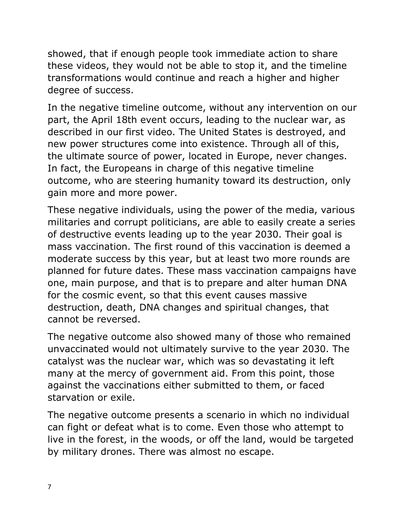showed, that if enough people took immediate action to share these videos, they would not be able to stop it, and the timeline transformations would continue and reach a higher and higher degree of success.

In the negative timeline outcome, without any intervention on our part, the April 18th event occurs, leading to the nuclear war, as described in our first video. The United States is destroyed, and new power structures come into existence. Through all of this, the ultimate source of power, located in Europe, never changes. In fact, the Europeans in charge of this negative timeline outcome, who are steering humanity toward its destruction, only gain more and more power.

These negative individuals, using the power of the media, various militaries and corrupt politicians, are able to easily create a series of destructive events leading up to the year 2030. Their goal is mass vaccination. The first round of this vaccination is deemed a moderate success by this year, but at least two more rounds are planned for future dates. These mass vaccination campaigns have one, main purpose, and that is to prepare and alter human DNA for the cosmic event, so that this event causes massive destruction, death, DNA changes and spiritual changes, that cannot be reversed.

The negative outcome also showed many of those who remained unvaccinated would not ultimately survive to the year 2030. The catalyst was the nuclear war, which was so devastating it left many at the mercy of government aid. From this point, those against the vaccinations either submitted to them, or faced starvation or exile.

The negative outcome presents a scenario in which no individual can fight or defeat what is to come. Even those who attempt to live in the forest, in the woods, or off the land, would be targeted by military drones. There was almost no escape.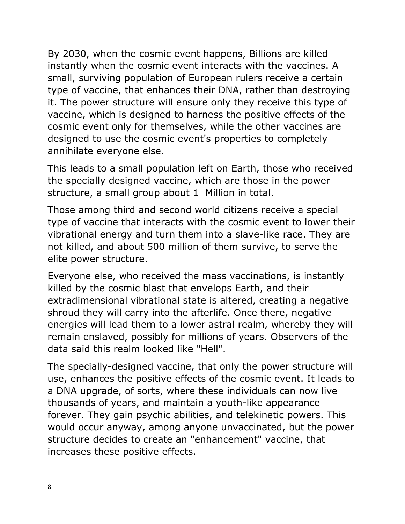By 2030, when the cosmic event happens, Billions are killed instantly when the cosmic event interacts with the vaccines. A small, surviving population of European rulers receive a certain type of vaccine, that enhances their DNA, rather than destroying it. The power structure will ensure only they receive this type of vaccine, which is designed to harness the positive effects of the cosmic event only for themselves, while the other vaccines are designed to use the cosmic event's properties to completely annihilate everyone else.

This leads to a small population left on Earth, those who received the specially designed vaccine, which are those in the power structure, a small group about 1 Million in total.

Those among third and second world citizens receive a special type of vaccine that interacts with the cosmic event to lower their vibrational energy and turn them into a slave-like race. They are not killed, and about 500 million of them survive, to serve the elite power structure.

Everyone else, who received the mass vaccinations, is instantly killed by the cosmic blast that envelops Earth, and their extradimensional vibrational state is altered, creating a negative shroud they will carry into the afterlife. Once there, negative energies will lead them to a lower astral realm, whereby they will remain enslaved, possibly for millions of years. Observers of the data said this realm looked like "Hell".

The specially-designed vaccine, that only the power structure will use, enhances the positive effects of the cosmic event. It leads to a DNA upgrade, of sorts, where these individuals can now live thousands of years, and maintain a youth-like appearance forever. They gain psychic abilities, and telekinetic powers. This would occur anyway, among anyone unvaccinated, but the power structure decides to create an "enhancement" vaccine, that increases these positive effects.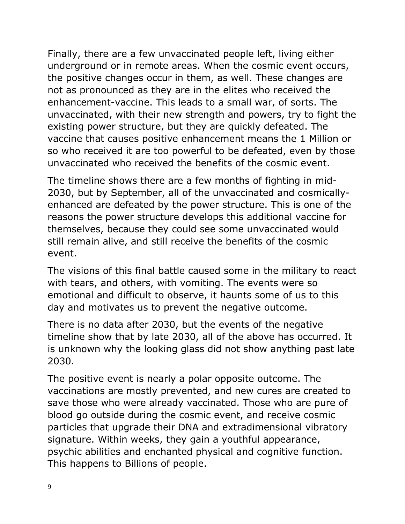Finally, there are a few unvaccinated people left, living either underground or in remote areas. When the cosmic event occurs, the positive changes occur in them, as well. These changes are not as pronounced as they are in the elites who received the enhancement-vaccine. This leads to a small war, of sorts. The unvaccinated, with their new strength and powers, try to fight the existing power structure, but they are quickly defeated. The vaccine that causes positive enhancement means the 1 Million or so who received it are too powerful to be defeated, even by those unvaccinated who received the benefits of the cosmic event.

The timeline shows there are a few months of fighting in mid-2030, but by September, all of the unvaccinated and cosmicallyenhanced are defeated by the power structure. This is one of the reasons the power structure develops this additional vaccine for themselves, because they could see some unvaccinated would still remain alive, and still receive the benefits of the cosmic event.

The visions of this final battle caused some in the military to react with tears, and others, with vomiting. The events were so emotional and difficult to observe, it haunts some of us to this day and motivates us to prevent the negative outcome.

There is no data after 2030, but the events of the negative timeline show that by late 2030, all of the above has occurred. It is unknown why the looking glass did not show anything past late 2030.

The positive event is nearly a polar opposite outcome. The vaccinations are mostly prevented, and new cures are created to save those who were already vaccinated. Those who are pure of blood go outside during the cosmic event, and receive cosmic particles that upgrade their DNA and extradimensional vibratory signature. Within weeks, they gain a youthful appearance, psychic abilities and enchanted physical and cognitive function. This happens to Billions of people.